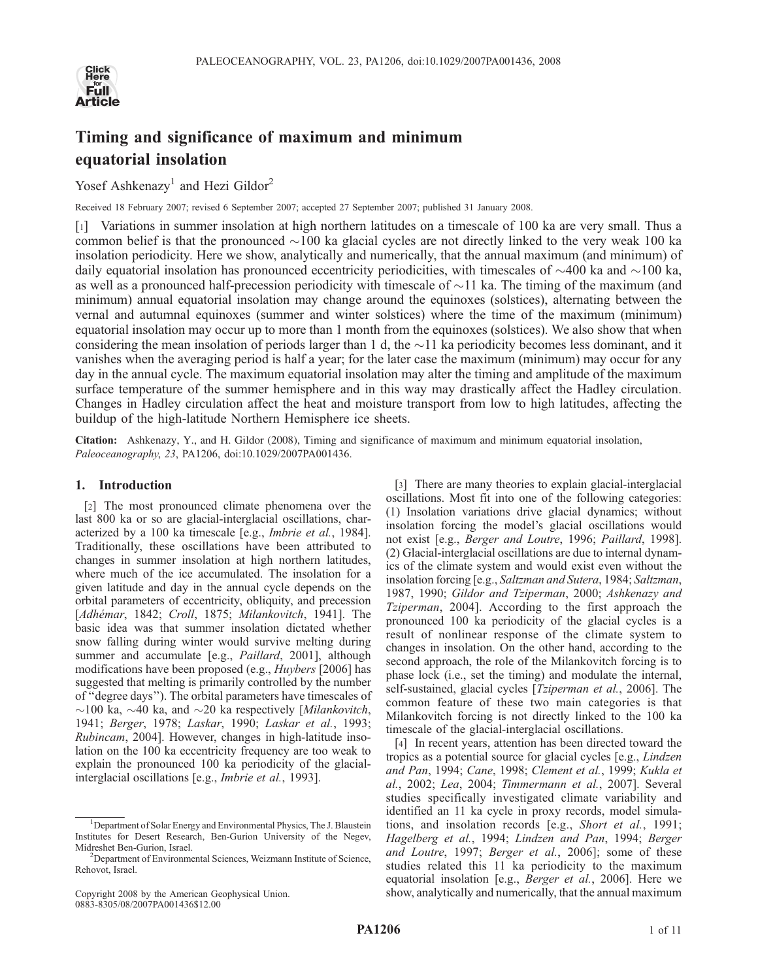

# Timing and significance of maximum and minimum equatorial insolation

Yosef Ashkenazy<sup>1</sup> and Hezi Gildor<sup>2</sup>

Received 18 February 2007; revised 6 September 2007; accepted 27 September 2007; published 31 January 2008.

[1] Variations in summer insolation at high northern latitudes on a timescale of 100 ka are very small. Thus a common belief is that the pronounced  $\sim$ 100 ka glacial cycles are not directly linked to the very weak 100 ka insolation periodicity. Here we show, analytically and numerically, that the annual maximum (and minimum) of daily equatorial insolation has pronounced eccentricity periodicities, with timescales of  $\sim$ 400 ka and  $\sim$ 100 ka, as well as a pronounced half-precession periodicity with timescale of  $\sim$ 11 ka. The timing of the maximum (and minimum) annual equatorial insolation may change around the equinoxes (solstices), alternating between the vernal and autumnal equinoxes (summer and winter solstices) where the time of the maximum (minimum) equatorial insolation may occur up to more than 1 month from the equinoxes (solstices). We also show that when considering the mean insolation of periods larger than 1 d, the  $\sim$ 11 ka periodicity becomes less dominant, and it vanishes when the averaging period is half a year; for the later case the maximum (minimum) may occur for any day in the annual cycle. The maximum equatorial insolation may alter the timing and amplitude of the maximum surface temperature of the summer hemisphere and in this way may drastically affect the Hadley circulation. Changes in Hadley circulation affect the heat and moisture transport from low to high latitudes, affecting the buildup of the high-latitude Northern Hemisphere ice sheets.

Citation: Ashkenazy, Y., and H. Gildor (2008), Timing and significance of maximum and minimum equatorial insolation, Paleoceanography, 23, PA1206, doi:10.1029/2007PA001436.

### 1. Introduction

[2] The most pronounced climate phenomena over the last 800 ka or so are glacial-interglacial oscillations, characterized by a 100 ka timescale [e.g., Imbrie et al., 1984]. Traditionally, these oscillations have been attributed to changes in summer insolation at high northern latitudes, where much of the ice accumulated. The insolation for a given latitude and day in the annual cycle depends on the orbital parameters of eccentricity, obliquity, and precession [Adhémar, 1842; Croll, 1875; Milankovitch, 1941]. The basic idea was that summer insolation dictated whether snow falling during winter would survive melting during summer and accumulate [e.g., *Paillard*, 2001], although modifications have been proposed (e.g., Huybers [2006] has suggested that melting is primarily controlled by the number of ''degree days''). The orbital parameters have timescales of  $\sim$ 100 ka,  $\sim$ 40 ka, and  $\sim$ 20 ka respectively [Milankovitch, 1941; Berger, 1978; Laskar, 1990; Laskar et al., 1993; Rubincam, 2004]. However, changes in high-latitude insolation on the 100 ka eccentricity frequency are too weak to explain the pronounced 100 ka periodicity of the glacialinterglacial oscillations [e.g., Imbrie et al., 1993].

[3] There are many theories to explain glacial-interglacial oscillations. Most fit into one of the following categories: (1) Insolation variations drive glacial dynamics; without insolation forcing the model's glacial oscillations would not exist [e.g., Berger and Loutre, 1996; Paillard, 1998]. (2) Glacial-interglacial oscillations are due to internal dynamics of the climate system and would exist even without the insolation forcing [e.g., Saltzman and Sutera, 1984; Saltzman, 1987, 1990; Gildor and Tziperman, 2000; Ashkenazy and Tziperman, 2004]. According to the first approach the pronounced 100 ka periodicity of the glacial cycles is a result of nonlinear response of the climate system to changes in insolation. On the other hand, according to the second approach, the role of the Milankovitch forcing is to phase lock (i.e., set the timing) and modulate the internal, self-sustained, glacial cycles [Tziperman et al., 2006]. The common feature of these two main categories is that Milankovitch forcing is not directly linked to the 100 ka timescale of the glacial-interglacial oscillations.

[4] In recent years, attention has been directed toward the tropics as a potential source for glacial cycles [e.g., Lindzen and Pan, 1994; Cane, 1998; Clement et al., 1999; Kukla et al., 2002; Lea, 2004; Timmermann et al., 2007]. Several studies specifically investigated climate variability and identified an 11 ka cycle in proxy records, model simulations, and insolation records [e.g., Short et al., 1991; Hagelberg et al., 1994; Lindzen and Pan, 1994; Berger and Loutre, 1997; Berger et al., 2006]; some of these studies related this 11 ka periodicity to the maximum equatorial insolation [e.g., Berger et al., 2006]. Here we show, analytically and numerically, that the annual maximum

<sup>&</sup>lt;sup>1</sup>Department of Solar Energy and Environmental Physics, The J. Blaustein Institutes for Desert Research, Ben-Gurion University of the Negev, Midreshet Ben-Gurion, Israel. <sup>2</sup>

<sup>&</sup>lt;sup>2</sup>Department of Environmental Sciences, Weizmann Institute of Science, Rehovot, Israel.

Copyright 2008 by the American Geophysical Union. 0883-8305/08/2007PA001436\$12.00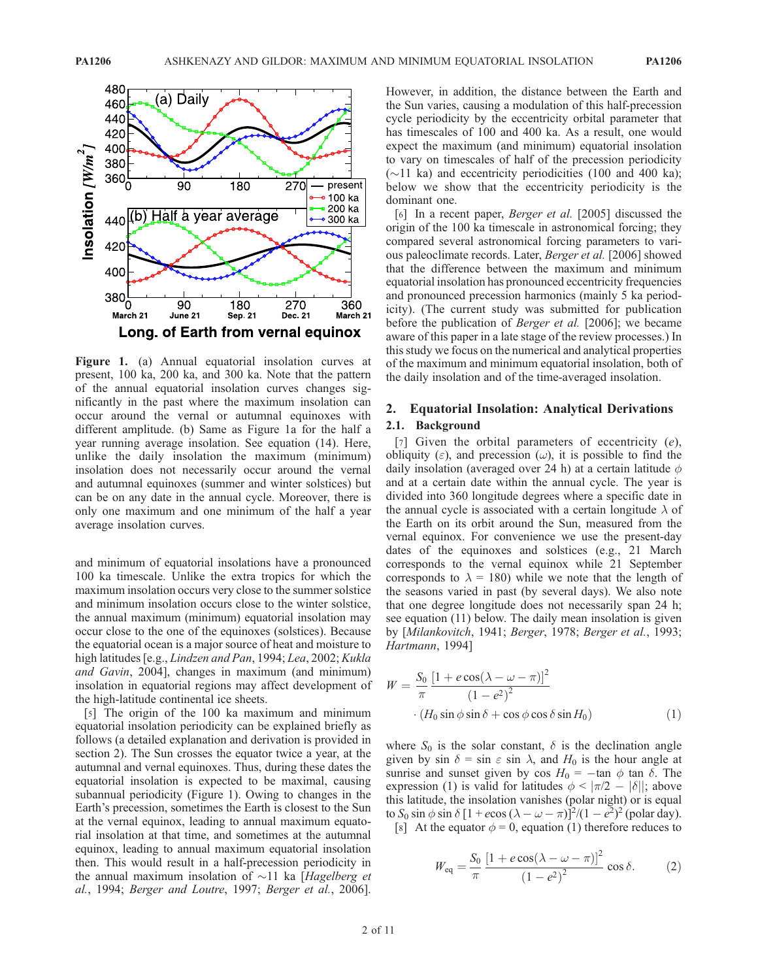

Figure 1. (a) Annual equatorial insolation curves at present, 100 ka, 200 ka, and 300 ka. Note that the pattern of the annual equatorial insolation curves changes significantly in the past where the maximum insolation can occur around the vernal or autumnal equinoxes with different amplitude. (b) Same as Figure 1a for the half a year running average insolation. See equation (14). Here, unlike the daily insolation the maximum (minimum) insolation does not necessarily occur around the vernal and autumnal equinoxes (summer and winter solstices) but can be on any date in the annual cycle. Moreover, there is only one maximum and one minimum of the half a year average insolation curves.

and minimum of equatorial insolations have a pronounced 100 ka timescale. Unlike the extra tropics for which the maximum insolation occurs very close to the summer solstice and minimum insolation occurs close to the winter solstice, the annual maximum (minimum) equatorial insolation may occur close to the one of the equinoxes (solstices). Because the equatorial ocean is a major source of heat and moisture to high latitudes [e.g., Lindzen and Pan, 1994; Lea, 2002; Kukla and Gavin, 2004], changes in maximum (and minimum) insolation in equatorial regions may affect development of the high-latitude continental ice sheets.

[5] The origin of the 100 ka maximum and minimum equatorial insolation periodicity can be explained briefly as follows (a detailed explanation and derivation is provided in section 2). The Sun crosses the equator twice a year, at the autumnal and vernal equinoxes. Thus, during these dates the equatorial insolation is expected to be maximal, causing subannual periodicity (Figure 1). Owing to changes in the Earth's precession, sometimes the Earth is closest to the Sun at the vernal equinox, leading to annual maximum equatorial insolation at that time, and sometimes at the autumnal equinox, leading to annual maximum equatorial insolation then. This would result in a half-precession periodicity in the annual maximum insolation of  $\sim$ 11 ka [Hagelberg et al., 1994; Berger and Loutre, 1997; Berger et al., 2006].

However, in addition, the distance between the Earth and the Sun varies, causing a modulation of this half-precession cycle periodicity by the eccentricity orbital parameter that has timescales of 100 and 400 ka. As a result, one would expect the maximum (and minimum) equatorial insolation to vary on timescales of half of the precession periodicity  $(\sim)11$  ka) and eccentricity periodicities (100 and 400 ka); below we show that the eccentricity periodicity is the dominant one.

[6] In a recent paper, Berger et al. [2005] discussed the origin of the 100 ka timescale in astronomical forcing; they compared several astronomical forcing parameters to various paleoclimate records. Later, Berger et al. [2006] showed that the difference between the maximum and minimum equatorial insolation has pronounced eccentricity frequencies and pronounced precession harmonics (mainly 5 ka periodicity). (The current study was submitted for publication before the publication of Berger et al. [2006]; we became aware of this paper in a late stage of the review processes.) In this study we focus on the numerical and analytical properties of the maximum and minimum equatorial insolation, both of the daily insolation and of the time-averaged insolation.

## 2. Equatorial Insolation: Analytical Derivations 2.1. Background

[7] Given the orbital parameters of eccentricity  $(e)$ , obliquity  $(\varepsilon)$ , and precession  $(\omega)$ , it is possible to find the daily insolation (averaged over 24 h) at a certain latitude  $\phi$ and at a certain date within the annual cycle. The year is divided into 360 longitude degrees where a specific date in the annual cycle is associated with a certain longitude  $\lambda$  of the Earth on its orbit around the Sun, measured from the vernal equinox. For convenience we use the present-day dates of the equinoxes and solstices (e.g., 21 March corresponds to the vernal equinox while 21 September corresponds to  $\lambda = 180$ ) while we note that the length of the seasons varied in past (by several days). We also note that one degree longitude does not necessarily span 24 h; see equation (11) below. The daily mean insolation is given by [Milankovitch, 1941; Berger, 1978; Berger et al., 1993; Hartmann, 1994]

$$
W = \frac{S_0}{\pi} \frac{\left[1 + e \cos(\lambda - \omega - \pi)\right]^2}{\left(1 - e^2\right)^2}
$$

$$
\cdot \left(H_0 \sin \phi \sin \delta + \cos \phi \cos \delta \sin H_0\right) \tag{1}
$$

where  $S_0$  is the solar constant,  $\delta$  is the declination angle given by sin  $\delta = \sin \varepsilon \sin \lambda$ , and  $H_0$  is the hour angle at sunrise and sunset given by cos  $H_0 = -\tan \phi \tan \delta$ . The expression (1) is valid for latitudes  $\phi < |\pi/2 - |\delta|$ ; above this latitude, the insolation vanishes (polar night) or is equal to  $S_0$  sin  $\phi$  sin  $\delta$  [1 + ecos ( $\lambda - \omega - \pi$ )]<sup>2</sup>/(1 – e<sup>2</sup>)<sup>2</sup> (polar day).

[8] At the equator  $\phi = 0$ , equation (1) therefore reduces to

$$
W_{\text{eq}} = \frac{S_0}{\pi} \frac{\left[1 + e \cos(\lambda - \omega - \pi)\right]^2}{\left(1 - e^2\right)^2} \cos \delta. \tag{2}
$$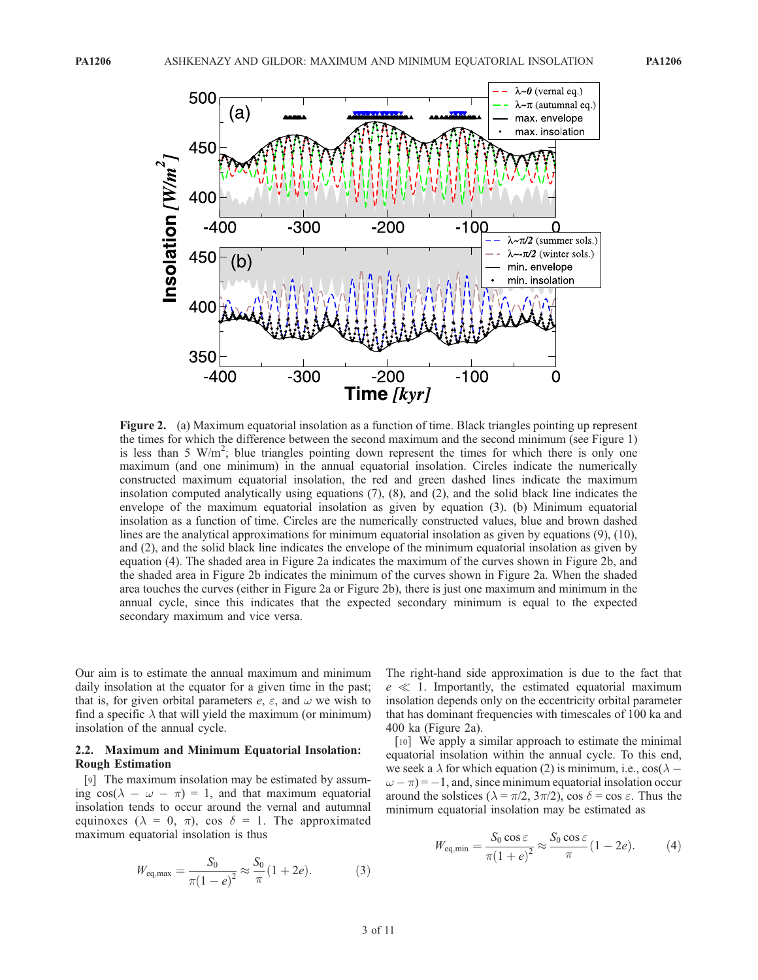

Figure 2. (a) Maximum equatorial insolation as a function of time. Black triangles pointing up represent the times for which the difference between the second maximum and the second minimum (see Figure 1) is less than 5  $W/m^2$ ; blue triangles pointing down represent the times for which there is only one maximum (and one minimum) in the annual equatorial insolation. Circles indicate the numerically constructed maximum equatorial insolation, the red and green dashed lines indicate the maximum insolation computed analytically using equations (7), (8), and (2), and the solid black line indicates the envelope of the maximum equatorial insolation as given by equation (3). (b) Minimum equatorial insolation as a function of time. Circles are the numerically constructed values, blue and brown dashed lines are the analytical approximations for minimum equatorial insolation as given by equations (9), (10), and (2), and the solid black line indicates the envelope of the minimum equatorial insolation as given by equation (4). The shaded area in Figure 2a indicates the maximum of the curves shown in Figure 2b, and the shaded area in Figure 2b indicates the minimum of the curves shown in Figure 2a. When the shaded area touches the curves (either in Figure 2a or Figure 2b), there is just one maximum and minimum in the annual cycle, since this indicates that the expected secondary minimum is equal to the expected secondary maximum and vice versa.

Our aim is to estimate the annual maximum and minimum daily insolation at the equator for a given time in the past; that is, for given orbital parameters  $e$ ,  $\varepsilon$ , and  $\omega$  we wish to find a specific  $\lambda$  that will yield the maximum (or minimum) insolation of the annual cycle.

#### 2.2. Maximum and Minimum Equatorial Insolation: Rough Estimation

[9] The maximum insolation may be estimated by assuming  $\cos(\lambda - \omega - \pi) = 1$ , and that maximum equatorial insolation tends to occur around the vernal and autumnal equinoxes ( $\lambda = 0, \pi$ ), cos  $\delta = 1$ . The approximated maximum equatorial insolation is thus

$$
W_{\text{eq,max}} = \frac{S_0}{\pi (1 - e)^2} \approx \frac{S_0}{\pi} (1 + 2e). \tag{3}
$$

The right-hand side approximation is due to the fact that  $e \ll 1$ . Importantly, the estimated equatorial maximum insolation depends only on the eccentricity orbital parameter that has dominant frequencies with timescales of 100 ka and 400 ka (Figure 2a).

[10] We apply a similar approach to estimate the minimal equatorial insolation within the annual cycle. To this end, we seek a  $\lambda$  for which equation (2) is minimum, i.e., cos( $\lambda$  –  $\omega - \pi$ ) = -1, and, since minimum equatorial insolation occur around the solstices ( $\lambda = \pi/2$ ,  $3\pi/2$ ), cos  $\delta = \cos \epsilon$ . Thus the minimum equatorial insolation may be estimated as

$$
W_{\text{eq,min}} = \frac{S_0 \cos \varepsilon}{\pi (1 + e)^2} \approx \frac{S_0 \cos \varepsilon}{\pi} (1 - 2e). \tag{4}
$$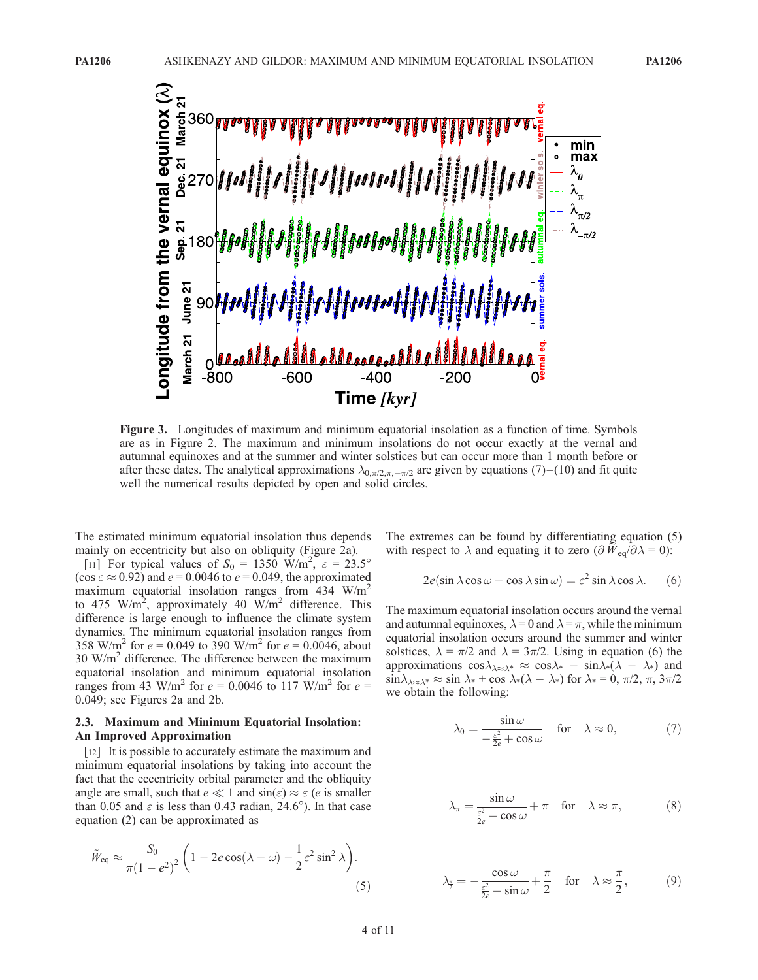

Figure 3. Longitudes of maximum and minimum equatorial insolation as a function of time. Symbols are as in Figure 2. The maximum and minimum insolations do not occur exactly at the vernal and autumnal equinoxes and at the summer and winter solstices but can occur more than 1 month before or after these dates. The analytical approximations  $\lambda_{0,\pi/2,\pi,-\pi/2}$  are given by equations (7)–(10) and fit quite well the numerical results depicted by open and solid circles.

The estimated minimum equatorial insolation thus depends mainly on eccentricity but also on obliquity (Figure 2a).

[11] For typical values of  $S_0 = 1350 \text{ W/m}^2$ ,  $\varepsilon = 23.5^\circ$ (cos  $\varepsilon \approx 0.92$ ) and  $e = 0.0046$  to  $e = 0.049$ , the approximated maximum equatorial insolation ranges from  $434 \text{ W/m}^2$ to 475 W/m<sup>2</sup>, approximately 40 W/m<sup>2</sup> difference. This difference is large enough to influence the climate system dynamics. The minimum equatorial insolation ranges from 358 W/m<sup>2</sup> for  $e = 0.049$  to 390 W/m<sup>2</sup> for  $e = 0.0046$ , about  $30 \text{ W/m}^2$  difference. The difference between the maximum equatorial insolation and minimum equatorial insolation ranges from 43 W/m<sup>2</sup> for  $e = 0.0046$  to 117 W/m<sup>2</sup> for  $e =$ 0.049; see Figures 2a and 2b.

## 2.3. Maximum and Minimum Equatorial Insolation: An Improved Approximation

[12] It is possible to accurately estimate the maximum and minimum equatorial insolations by taking into account the fact that the eccentricity orbital parameter and the obliquity angle are small, such that  $e \ll 1$  and  $\sin(\varepsilon) \approx \varepsilon$  (e is smaller than 0.05 and  $\varepsilon$  is less than 0.43 radian, 24.6°). In that case equation (2) can be approximated as

$$
\tilde{W}_{\text{eq}} \approx \frac{S_0}{\pi (1 - e^2)^2} \left( 1 - 2e \cos(\lambda - \omega) - \frac{1}{2} \varepsilon^2 \sin^2 \lambda \right). \tag{5}
$$

The extremes can be found by differentiating equation (5) with respect to  $\lambda$  and equating it to zero  $\left(\frac{\partial \widetilde{W}}{\partial q}|\partial \lambda = 0\right)$ :

$$
2e(\sin \lambda \cos \omega - \cos \lambda \sin \omega) = \varepsilon^2 \sin \lambda \cos \lambda. \quad (6)
$$

The maximum equatorial insolation occurs around the vernal and autumnal equinoxes,  $\lambda = 0$  and  $\lambda = \pi$ , while the minimum equatorial insolation occurs around the summer and winter solstices,  $\lambda = \pi/2$  and  $\lambda = 3\pi/2$ . Using in equation (6) the approximations  $\cos \lambda_{\lambda \approx \lambda^*} \approx \cos \lambda^* - \sin \lambda^* (\lambda - \lambda^*)$  and  $\sin \lambda_{\lambda \approx \lambda^*} \approx \sin \lambda_* + \cos \lambda_*(\lambda - \lambda_*)$  for  $\lambda_* = 0, \pi/2, \pi, 3\pi/2$ we obtain the following:

$$
\lambda_0 = \frac{\sin \omega}{-\frac{\varepsilon^2}{2e} + \cos \omega} \quad \text{for} \quad \lambda \approx 0,\tag{7}
$$

$$
\lambda_{\pi} = \frac{\sin \omega}{\frac{\varepsilon^2}{2e} + \cos \omega} + \pi \quad \text{for} \quad \lambda \approx \pi,
$$
 (8)

$$
\lambda_{\frac{\pi}{2}} = -\frac{\cos \omega}{\frac{\varepsilon^2}{2e} + \sin \omega} + \frac{\pi}{2} \quad \text{for} \quad \lambda \approx \frac{\pi}{2}, \tag{9}
$$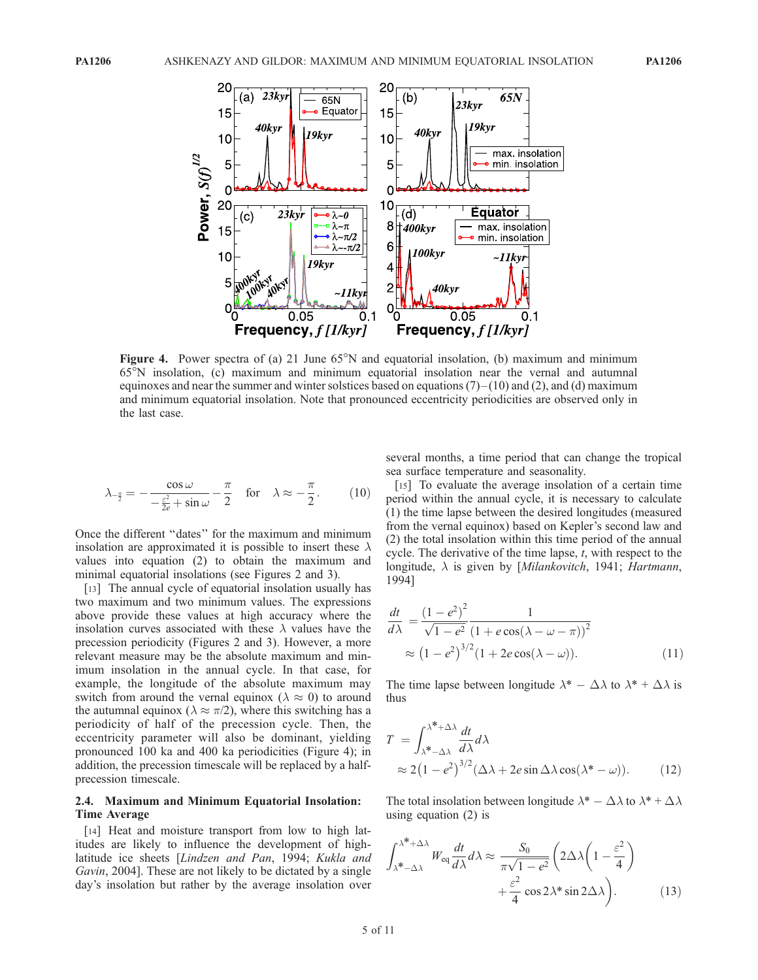

Figure 4. Power spectra of (a) 21 June  $65^{\circ}$ N and equatorial insolation, (b) maximum and minimum 65N insolation, (c) maximum and minimum equatorial insolation near the vernal and autumnal equinoxes and near the summer and winter solstices based on equations  $(7)$  – (10) and (2), and (d) maximum and minimum equatorial insolation. Note that pronounced eccentricity periodicities are observed only in the last case.

$$
\lambda_{-\frac{\pi}{2}} = -\frac{\cos \omega}{-\frac{\varepsilon^2}{2e} + \sin \omega} - \frac{\pi}{2} \quad \text{for} \quad \lambda \approx -\frac{\pi}{2}.
$$
 (10)

Once the different ''dates'' for the maximum and minimum insolation are approximated it is possible to insert these  $\lambda$ values into equation (2) to obtain the maximum and minimal equatorial insolations (see Figures 2 and 3).

[13] The annual cycle of equatorial insolation usually has two maximum and two minimum values. The expressions above provide these values at high accuracy where the insolation curves associated with these  $\lambda$  values have the precession periodicity (Figures 2 and 3). However, a more relevant measure may be the absolute maximum and minimum insolation in the annual cycle. In that case, for example, the longitude of the absolute maximum may switch from around the vernal equinox ( $\lambda \approx 0$ ) to around the autumnal equinox ( $\lambda \approx \pi/2$ ), where this switching has a periodicity of half of the precession cycle. Then, the eccentricity parameter will also be dominant, yielding pronounced 100 ka and 400 ka periodicities (Figure 4); in addition, the precession timescale will be replaced by a halfprecession timescale.

### 2.4. Maximum and Minimum Equatorial Insolation: Time Average

[14] Heat and moisture transport from low to high latitudes are likely to influence the development of highlatitude ice sheets [Lindzen and Pan, 1994; Kukla and Gavin, 2004]. These are not likely to be dictated by a single day's insolation but rather by the average insolation over several months, a time period that can change the tropical sea surface temperature and seasonality.

[15] To evaluate the average insolation of a certain time period within the annual cycle, it is necessary to calculate (1) the time lapse between the desired longitudes (measured from the vernal equinox) based on Kepler's second law and (2) the total insolation within this time period of the annual cycle. The derivative of the time lapse,  $t$ , with respect to the longitude,  $\lambda$  is given by [*Milankovitch*, 1941; *Hartmann*, 1994]

$$
\frac{dt}{d\lambda} = \frac{(1 - e^2)^2}{\sqrt{1 - e^2}} \frac{1}{(1 + e \cos(\lambda - \omega - \pi))^2} \approx (1 - e^2)^{3/2} (1 + 2e \cos(\lambda - \omega)).
$$
\n(11)

The time lapse between longitude  $\lambda^* - \Delta \lambda$  to  $\lambda^* + \Delta \lambda$  is thus

$$
T = \int_{\lambda^* - \Delta \lambda}^{\lambda^* + \Delta \lambda} \frac{dt}{d\lambda} d\lambda
$$
  
 
$$
\approx 2(1 - e^2)^{3/2} (\Delta \lambda + 2e \sin \Delta \lambda \cos(\lambda^* - \omega)). \tag{12}
$$

The total insolation between longitude  $\lambda^* - \Delta \lambda$  to  $\lambda^* + \Delta \lambda$ using equation (2) is

$$
\int_{\lambda^* - \Delta \lambda}^{\lambda^* + \Delta \lambda} W_{eq} \frac{dt}{d\lambda} d\lambda \approx \frac{S_0}{\pi \sqrt{1 - e^2}} \left( 2\Delta \lambda \left( 1 - \frac{\varepsilon^2}{4} \right) + \frac{\varepsilon^2}{4} \cos 2\lambda^* \sin 2\Delta \lambda \right). \tag{13}
$$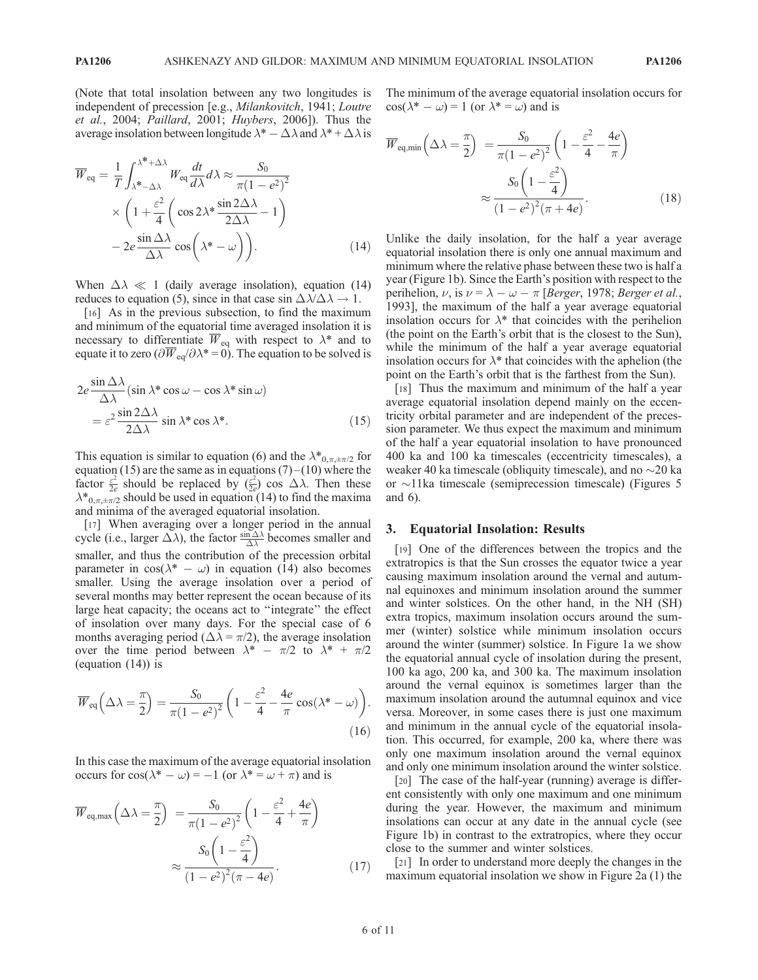(Note that total insolation between any two longitudes is independent of precession [e.g., Milankovitch, 1941; Loutre et al., 2004; Paillard, 2001; Huybers, 2006]). Thus the average insolation between longitude  $\lambda^* - \Delta \lambda$  and  $\lambda^* + \Delta \lambda$  is

$$
\overline{W}_{eq} = \frac{1}{T} \int_{\lambda^{*} - \Delta\lambda}^{\lambda^{*} + \Delta\lambda} W_{eq} \frac{dt}{d\lambda} d\lambda \approx \frac{S_0}{\pi (1 - e^2)^2} \times \left( 1 + \frac{\varepsilon^2}{4} \left( \cos 2\lambda^* \frac{\sin 2\Delta\lambda}{2\Delta\lambda} - 1 \right) - 2e \frac{\sin \Delta\lambda}{\Delta\lambda} \cos \left( \lambda^* - \omega \right) \right).
$$
\n(14)

When  $\Delta \lambda \ll 1$  (daily average insolation), equation (14) reduces to equation (5), since in that case sin  $\Delta \lambda / \Delta \lambda \rightarrow 1$ .

[16] As in the previous subsection, to find the maximum and minimum of the equatorial time averaged insolation it is necessary to differentiate  $\overline{W}_{eq}$  with respect to  $\lambda^*$  and to equate it to zero ( $\partial \overline{W}_{\text{eq}}/\partial \lambda^*$  = 0). The equation to be solved is

$$
2e \frac{\sin \Delta \lambda}{\Delta \lambda} (\sin \lambda^* \cos \omega - \cos \lambda^* \sin \omega)
$$
  
=  $\varepsilon^2 \frac{\sin 2\Delta \lambda}{2\Delta \lambda} \sin \lambda^* \cos \lambda^*.$  (15)

This equation is similar to equation (6) and the  $\lambda^*_{0,\pi,\pm\pi/2}$  for equation (15) are the same as in equations  $(7)$  – (10) where the factor  $\frac{\varepsilon^2}{2e}$  should be replaced by  $(\frac{\varepsilon^2}{2e})$  cos  $\Delta \lambda$ . Then these  $\lambda^*_{0,\pi,\pm\pi/2}$  should be used in equation (14) to find the maxima and minima of the averaged equatorial insolation.

[17] When averaging over a longer period in the annual cycle (i.e., larger  $\Delta \lambda$ ), the factor  $\frac{\sin \Delta \lambda}{\Delta \lambda}$  becomes smaller and smaller, and thus the contribution of the precession orbital parameter in  $cos(\lambda^* - \omega)$  in equation (14) also becomes smaller. Using the average insolation over a period of several months may better represent the ocean because of its large heat capacity; the oceans act to ''integrate'' the effect of insolation over many days. For the special case of 6 months averaging period ( $\Delta \lambda = \pi/2$ ), the average insolation over the time period between  $\lambda^* - \pi/2$  to  $\lambda^* + \pi/2$ (equation (14)) is

$$
\overline{W}_{eq}(\Delta \lambda = \frac{\pi}{2}) = \frac{S_0}{\pi (1 - e^2)^2} \left( 1 - \frac{\varepsilon^2}{4} - \frac{4e}{\pi} \cos(\lambda^* - \omega) \right).
$$
\n(16)

In this case the maximum of the average equatorial insolation occurs for  $\cos(\lambda^* - \omega) = -1$  (or  $\lambda^* = \omega + \pi$ ) and is

$$
\overline{W}_{\text{eq,max}}\left(\Delta\lambda = \frac{\pi}{2}\right) = \frac{S_0}{\pi(1 - e^2)^2} \left(1 - \frac{\varepsilon^2}{4} + \frac{4e}{\pi}\right)
$$

$$
\approx \frac{S_0 \left(1 - \frac{\varepsilon^2}{4}\right)}{(1 - e^2)^2 (\pi - 4e)}.
$$
(17)

The minimum of the average equatorial insolation occurs for  $\cos(\lambda^* - \omega) = 1$  (or  $\lambda^* = \omega$ ) and is

$$
\overline{W}_{\text{eq,min}}\left(\Delta\lambda = \frac{\pi}{2}\right) = \frac{S_0}{\pi(1 - e^2)^2} \left(1 - \frac{\varepsilon^2}{4} - \frac{4e}{\pi}\right)
$$

$$
\approx \frac{S_0 \left(1 - \frac{\varepsilon^2}{4}\right)}{(1 - e^2)^2 (\pi + 4e)}.
$$
(18)

Unlike the daily insolation, for the half a year average equatorial insolation there is only one annual maximum and minimum where the relative phase between these two is half a year (Figure 1b). Since the Earth's position with respect to the perihelion,  $\nu$ , is  $\nu = \lambda - \omega - \pi$  [Berger, 1978; Berger et al., 1993], the maximum of the half a year average equatorial insolation occurs for  $\lambda^*$  that coincides with the perihelion (the point on the Earth's orbit that is the closest to the Sun), while the minimum of the half a year average equatorial insolation occurs for  $\lambda^*$  that coincides with the aphelion (the point on the Earth's orbit that is the farthest from the Sun).

[18] Thus the maximum and minimum of the half a year average equatorial insolation depend mainly on the eccentricity orbital parameter and are independent of the precession parameter. We thus expect the maximum and minimum of the half a year equatorial insolation to have pronounced 400 ka and 100 ka timescales (eccentricity timescales), a weaker 40 ka timescale (obliquity timescale), and no  $\sim$ 20 ka or  $\sim$ 11ka timescale (semiprecession timescale) (Figures 5 and 6).

### 3. Equatorial Insolation: Results

[19] One of the differences between the tropics and the extratropics is that the Sun crosses the equator twice a year causing maximum insolation around the vernal and autumnal equinoxes and minimum insolation around the summer and winter solstices. On the other hand, in the NH (SH) extra tropics, maximum insolation occurs around the summer (winter) solstice while minimum insolation occurs around the winter (summer) solstice. In Figure 1a we show the equatorial annual cycle of insolation during the present, 100 ka ago, 200 ka, and 300 ka. The maximum insolation around the vernal equinox is sometimes larger than the maximum insolation around the autumnal equinox and vice versa. Moreover, in some cases there is just one maximum and minimum in the annual cycle of the equatorial insolation. This occurred, for example, 200 ka, where there was only one maximum insolation around the vernal equinox and only one minimum insolation around the winter solstice.

[20] The case of the half-year (running) average is different consistently with only one maximum and one minimum during the year. However, the maximum and minimum insolations can occur at any date in the annual cycle (see Figure 1b) in contrast to the extratropics, where they occur close to the summer and winter solstices.

[21] In order to understand more deeply the changes in the maximum equatorial insolation we show in Figure 2a (1) the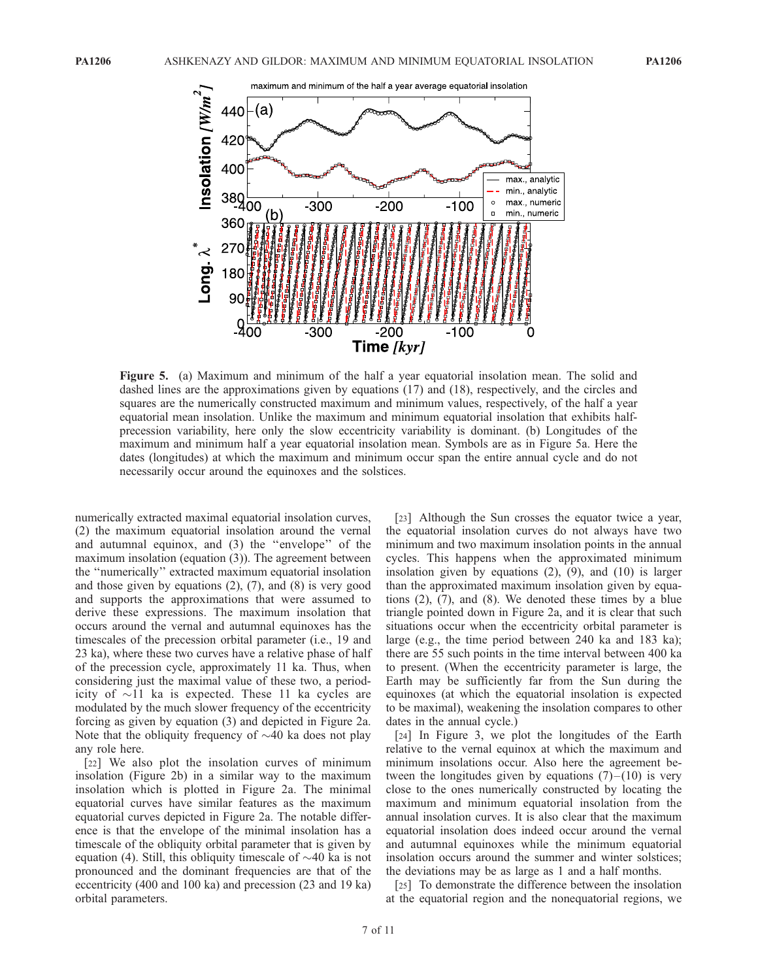

Figure 5. (a) Maximum and minimum of the half a year equatorial insolation mean. The solid and dashed lines are the approximations given by equations (17) and (18), respectively, and the circles and squares are the numerically constructed maximum and minimum values, respectively, of the half a year equatorial mean insolation. Unlike the maximum and minimum equatorial insolation that exhibits halfprecession variability, here only the slow eccentricity variability is dominant. (b) Longitudes of the maximum and minimum half a year equatorial insolation mean. Symbols are as in Figure 5a. Here the dates (longitudes) at which the maximum and minimum occur span the entire annual cycle and do not necessarily occur around the equinoxes and the solstices.

numerically extracted maximal equatorial insolation curves, (2) the maximum equatorial insolation around the vernal and autumnal equinox, and (3) the ''envelope'' of the maximum insolation (equation (3)). The agreement between the ''numerically'' extracted maximum equatorial insolation and those given by equations (2), (7), and (8) is very good and supports the approximations that were assumed to derive these expressions. The maximum insolation that occurs around the vernal and autumnal equinoxes has the timescales of the precession orbital parameter (i.e., 19 and 23 ka), where these two curves have a relative phase of half of the precession cycle, approximately 11 ka. Thus, when considering just the maximal value of these two, a periodicity of  $\sim$ 11 ka is expected. These 11 ka cycles are modulated by the much slower frequency of the eccentricity forcing as given by equation (3) and depicted in Figure 2a. Note that the obliquity frequency of  $\sim$ 40 ka does not play any role here.

[22] We also plot the insolation curves of minimum insolation (Figure 2b) in a similar way to the maximum insolation which is plotted in Figure 2a. The minimal equatorial curves have similar features as the maximum equatorial curves depicted in Figure 2a. The notable difference is that the envelope of the minimal insolation has a timescale of the obliquity orbital parameter that is given by equation (4). Still, this obliquity timescale of  $\sim$ 40 ka is not pronounced and the dominant frequencies are that of the eccentricity (400 and 100 ka) and precession (23 and 19 ka) orbital parameters.

[23] Although the Sun crosses the equator twice a year, the equatorial insolation curves do not always have two minimum and two maximum insolation points in the annual cycles. This happens when the approximated minimum insolation given by equations (2), (9), and (10) is larger than the approximated maximum insolation given by equations (2), (7), and (8). We denoted these times by a blue triangle pointed down in Figure 2a, and it is clear that such situations occur when the eccentricity orbital parameter is large (e.g., the time period between 240 ka and 183 ka); there are 55 such points in the time interval between 400 ka to present. (When the eccentricity parameter is large, the Earth may be sufficiently far from the Sun during the equinoxes (at which the equatorial insolation is expected to be maximal), weakening the insolation compares to other dates in the annual cycle.)

[24] In Figure 3, we plot the longitudes of the Earth relative to the vernal equinox at which the maximum and minimum insolations occur. Also here the agreement between the longitudes given by equations  $(7)$ – $(10)$  is very close to the ones numerically constructed by locating the maximum and minimum equatorial insolation from the annual insolation curves. It is also clear that the maximum equatorial insolation does indeed occur around the vernal and autumnal equinoxes while the minimum equatorial insolation occurs around the summer and winter solstices; the deviations may be as large as 1 and a half months.

[25] To demonstrate the difference between the insolation at the equatorial region and the nonequatorial regions, we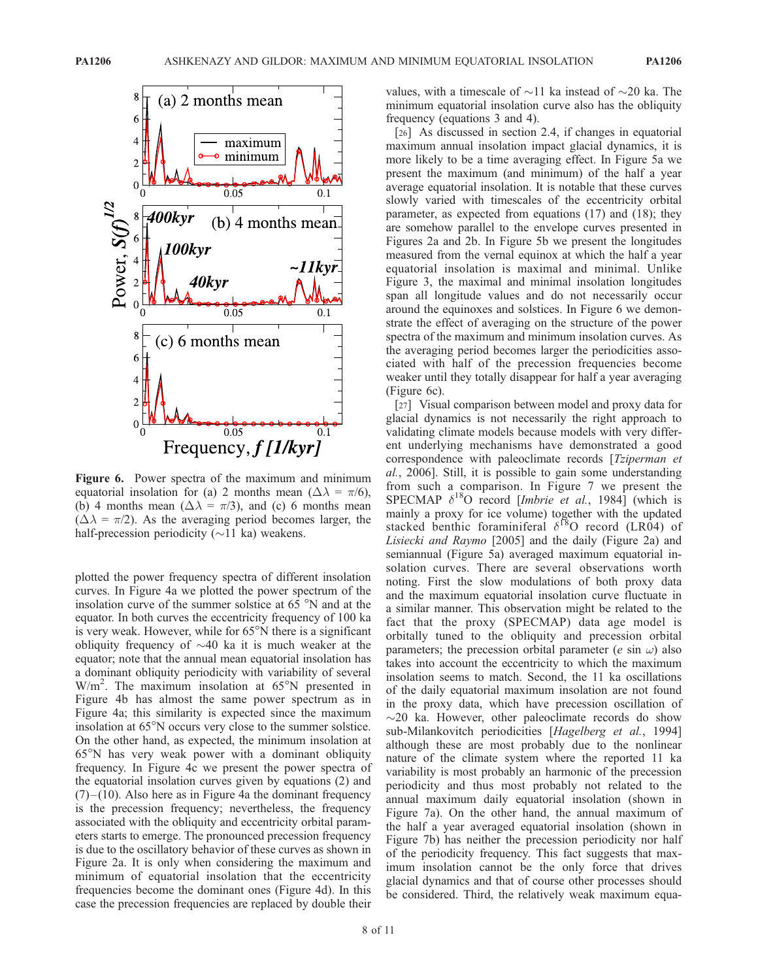

Figure 6. Power spectra of the maximum and minimum equatorial insolation for (a) 2 months mean ( $\Delta \lambda = \pi/6$ ), (b) 4 months mean  $(\Delta \lambda = \pi/3)$ , and (c) 6 months mean  $(\Delta \lambda = \pi/2)$ . As the averaging period becomes larger, the half-precession periodicity  $(\sim 11 \text{ ka})$  weakens.

plotted the power frequency spectra of different insolation curves. In Figure 4a we plotted the power spectrum of the insolation curve of the summer solstice at  $65^\circ$ N and at the equator. In both curves the eccentricity frequency of 100 ka is very weak. However, while for  $65^{\circ}$ N there is a significant obliquity frequency of  $\sim$ 40 ka it is much weaker at the equator; note that the annual mean equatorial insolation has a dominant obliquity periodicity with variability of several  $W/m<sup>2</sup>$ . The maximum insolation at 65°N presented in Figure 4b has almost the same power spectrum as in Figure 4a; this similarity is expected since the maximum insolation at  $65^{\circ}$ N occurs very close to the summer solstice. On the other hand, as expected, the minimum insolation at  $65^{\circ}$ N has very weak power with a dominant obliquity frequency. In Figure 4c we present the power spectra of the equatorial insolation curves given by equations (2) and  $(7)$  – (10). Also here as in Figure 4a the dominant frequency is the precession frequency; nevertheless, the frequency associated with the obliquity and eccentricity orbital parameters starts to emerge. The pronounced precession frequency is due to the oscillatory behavior of these curves as shown in Figure 2a. It is only when considering the maximum and minimum of equatorial insolation that the eccentricity frequencies become the dominant ones (Figure 4d). In this case the precession frequencies are replaced by double their

values, with a timescale of  $\sim$ 11 ka instead of  $\sim$ 20 ka. The minimum equatorial insolation curve also has the obliquity frequency (equations 3 and 4).

[26] As discussed in section 2.4, if changes in equatorial maximum annual insolation impact glacial dynamics, it is more likely to be a time averaging effect. In Figure 5a we present the maximum (and minimum) of the half a year average equatorial insolation. It is notable that these curves slowly varied with timescales of the eccentricity orbital parameter, as expected from equations (17) and (18); they are somehow parallel to the envelope curves presented in Figures 2a and 2b. In Figure 5b we present the longitudes measured from the vernal equinox at which the half a year equatorial insolation is maximal and minimal. Unlike Figure 3, the maximal and minimal insolation longitudes span all longitude values and do not necessarily occur around the equinoxes and solstices. In Figure 6 we demonstrate the effect of averaging on the structure of the power spectra of the maximum and minimum insolation curves. As the averaging period becomes larger the periodicities associated with half of the precession frequencies become weaker until they totally disappear for half a year averaging (Figure 6c).

[27] Visual comparison between model and proxy data for glacial dynamics is not necessarily the right approach to validating climate models because models with very different underlying mechanisms have demonstrated a good correspondence with paleoclimate records [Tziperman et al., 2006]. Still, it is possible to gain some understanding from such a comparison. In Figure 7 we present the SPECMAP  $\delta^{18}$ O record [*Imbrie et al.*, 1984] (which is mainly a proxy for ice volume) together with the updated stacked benthic foraminiferal  $\delta^{18}$ O record (LR04) of Lisiecki and Raymo [2005] and the daily (Figure 2a) and semiannual (Figure 5a) averaged maximum equatorial insolation curves. There are several observations worth noting. First the slow modulations of both proxy data and the maximum equatorial insolation curve fluctuate in a similar manner. This observation might be related to the fact that the proxy (SPECMAP) data age model is orbitally tuned to the obliquity and precession orbital parameters; the precession orbital parameter (*e* sin  $\omega$ ) also takes into account the eccentricity to which the maximum insolation seems to match. Second, the 11 ka oscillations of the daily equatorial maximum insolation are not found in the proxy data, which have precession oscillation of  $\sim$ 20 ka. However, other paleoclimate records do show sub-Milankovitch periodicities [Hagelberg et al., 1994] although these are most probably due to the nonlinear nature of the climate system where the reported 11 ka variability is most probably an harmonic of the precession periodicity and thus most probably not related to the annual maximum daily equatorial insolation (shown in Figure 7a). On the other hand, the annual maximum of the half a year averaged equatorial insolation (shown in Figure 7b) has neither the precession periodicity nor half of the periodicity frequency. This fact suggests that maximum insolation cannot be the only force that drives glacial dynamics and that of course other processes should be considered. Third, the relatively weak maximum equa-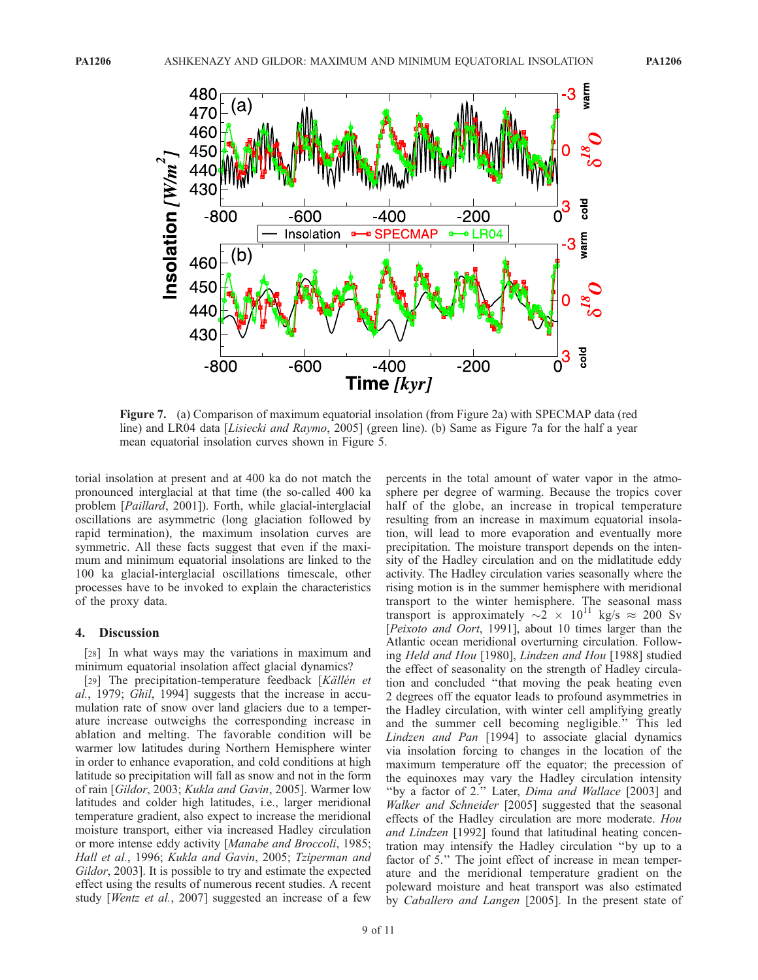

Figure 7. (a) Comparison of maximum equatorial insolation (from Figure 2a) with SPECMAP data (red line) and LR04 data [Lisiecki and Raymo, 2005] (green line). (b) Same as Figure 7a for the half a year mean equatorial insolation curves shown in Figure 5.

torial insolation at present and at 400 ka do not match the pronounced interglacial at that time (the so-called 400 ka problem [Paillard, 2001]). Forth, while glacial-interglacial oscillations are asymmetric (long glaciation followed by rapid termination), the maximum insolation curves are symmetric. All these facts suggest that even if the maximum and minimum equatorial insolations are linked to the 100 ka glacial-interglacial oscillations timescale, other processes have to be invoked to explain the characteristics of the proxy data.

#### 4. Discussion

[28] In what ways may the variations in maximum and minimum equatorial insolation affect glacial dynamics?

[29] The precipitation-temperature feedback [Källén et al., 1979; Ghil, 1994] suggests that the increase in accumulation rate of snow over land glaciers due to a temperature increase outweighs the corresponding increase in ablation and melting. The favorable condition will be warmer low latitudes during Northern Hemisphere winter in order to enhance evaporation, and cold conditions at high latitude so precipitation will fall as snow and not in the form of rain [Gildor, 2003; Kukla and Gavin, 2005]. Warmer low latitudes and colder high latitudes, i.e., larger meridional temperature gradient, also expect to increase the meridional moisture transport, either via increased Hadley circulation or more intense eddy activity [Manabe and Broccoli, 1985; Hall et al., 1996; Kukla and Gavin, 2005; Tziperman and Gildor, 2003]. It is possible to try and estimate the expected effect using the results of numerous recent studies. A recent study [Wentz et al., 2007] suggested an increase of a few

percents in the total amount of water vapor in the atmosphere per degree of warming. Because the tropics cover half of the globe, an increase in tropical temperature resulting from an increase in maximum equatorial insolation, will lead to more evaporation and eventually more precipitation. The moisture transport depends on the intensity of the Hadley circulation and on the midlatitude eddy activity. The Hadley circulation varies seasonally where the rising motion is in the summer hemisphere with meridional transport to the winter hemisphere. The seasonal mass transport is approximately  $\sim 2 \times 10^{11}$  kg/s  $\approx 200$  Sv [Peixoto and Oort, 1991], about 10 times larger than the Atlantic ocean meridional overturning circulation. Following Held and Hou [1980], Lindzen and Hou [1988] studied the effect of seasonality on the strength of Hadley circulation and concluded ''that moving the peak heating even 2 degrees off the equator leads to profound asymmetries in the Hadley circulation, with winter cell amplifying greatly and the summer cell becoming negligible.'' This led Lindzen and Pan [1994] to associate glacial dynamics via insolation forcing to changes in the location of the maximum temperature off the equator; the precession of the equinoxes may vary the Hadley circulation intensity ''by a factor of 2.'' Later, Dima and Wallace [2003] and Walker and Schneider [2005] suggested that the seasonal effects of the Hadley circulation are more moderate. Hou and Lindzen [1992] found that latitudinal heating concentration may intensify the Hadley circulation ''by up to a factor of 5.'' The joint effect of increase in mean temperature and the meridional temperature gradient on the poleward moisture and heat transport was also estimated by Caballero and Langen [2005]. In the present state of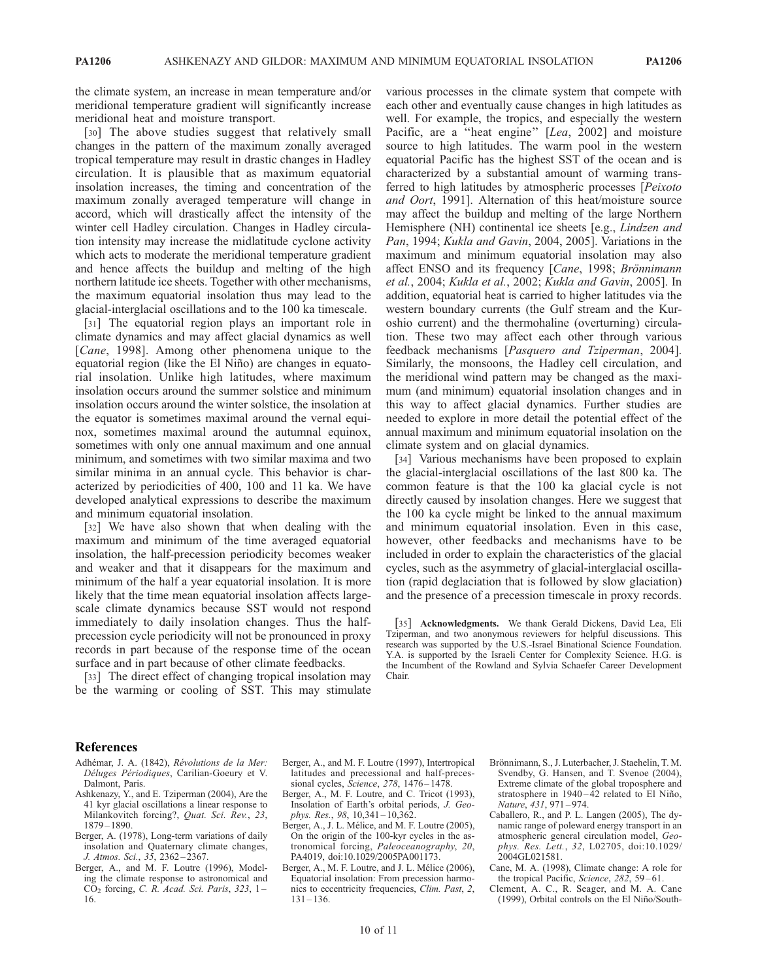the climate system, an increase in mean temperature and/or meridional temperature gradient will significantly increase meridional heat and moisture transport.

[30] The above studies suggest that relatively small changes in the pattern of the maximum zonally averaged tropical temperature may result in drastic changes in Hadley circulation. It is plausible that as maximum equatorial insolation increases, the timing and concentration of the maximum zonally averaged temperature will change in accord, which will drastically affect the intensity of the winter cell Hadley circulation. Changes in Hadley circulation intensity may increase the midlatitude cyclone activity which acts to moderate the meridional temperature gradient and hence affects the buildup and melting of the high northern latitude ice sheets. Together with other mechanisms, the maximum equatorial insolation thus may lead to the glacial-interglacial oscillations and to the 100 ka timescale.

[31] The equatorial region plays an important role in climate dynamics and may affect glacial dynamics as well [Cane, 1998]. Among other phenomena unique to the equatorial region (like the El Niño) are changes in equatorial insolation. Unlike high latitudes, where maximum insolation occurs around the summer solstice and minimum insolation occurs around the winter solstice, the insolation at the equator is sometimes maximal around the vernal equinox, sometimes maximal around the autumnal equinox, sometimes with only one annual maximum and one annual minimum, and sometimes with two similar maxima and two similar minima in an annual cycle. This behavior is characterized by periodicities of 400, 100 and 11 ka. We have developed analytical expressions to describe the maximum and minimum equatorial insolation.

[32] We have also shown that when dealing with the maximum and minimum of the time averaged equatorial insolation, the half-precession periodicity becomes weaker and weaker and that it disappears for the maximum and minimum of the half a year equatorial insolation. It is more likely that the time mean equatorial insolation affects largescale climate dynamics because SST would not respond immediately to daily insolation changes. Thus the halfprecession cycle periodicity will not be pronounced in proxy records in part because of the response time of the ocean surface and in part because of other climate feedbacks.

[33] The direct effect of changing tropical insolation may be the warming or cooling of SST. This may stimulate

various processes in the climate system that compete with each other and eventually cause changes in high latitudes as well. For example, the tropics, and especially the western Pacific, are a "heat engine" [Lea, 2002] and moisture source to high latitudes. The warm pool in the western equatorial Pacific has the highest SST of the ocean and is characterized by a substantial amount of warming transferred to high latitudes by atmospheric processes [Peixoto and Oort, 1991]. Alternation of this heat/moisture source may affect the buildup and melting of the large Northern Hemisphere (NH) continental ice sheets [e.g., *Lindzen and* Pan, 1994; Kukla and Gavin, 2004, 2005]. Variations in the maximum and minimum equatorial insolation may also affect ENSO and its frequency [Cane, 1998; Brönnimann et al., 2004; Kukla et al., 2002; Kukla and Gavin, 2005]. In addition, equatorial heat is carried to higher latitudes via the western boundary currents (the Gulf stream and the Kuroshio current) and the thermohaline (overturning) circulation. These two may affect each other through various feedback mechanisms [Pasquero and Tziperman, 2004]. Similarly, the monsoons, the Hadley cell circulation, and the meridional wind pattern may be changed as the maximum (and minimum) equatorial insolation changes and in this way to affect glacial dynamics. Further studies are needed to explore in more detail the potential effect of the annual maximum and minimum equatorial insolation on the climate system and on glacial dynamics.

[34] Various mechanisms have been proposed to explain the glacial-interglacial oscillations of the last 800 ka. The common feature is that the 100 ka glacial cycle is not directly caused by insolation changes. Here we suggest that the 100 ka cycle might be linked to the annual maximum and minimum equatorial insolation. Even in this case, however, other feedbacks and mechanisms have to be included in order to explain the characteristics of the glacial cycles, such as the asymmetry of glacial-interglacial oscillation (rapid deglaciation that is followed by slow glaciation) and the presence of a precession timescale in proxy records.

[35] Acknowledgments. We thank Gerald Dickens, David Lea, Eli Tziperman, and two anonymous reviewers for helpful discussions. This research was supported by the U.S.-Israel Binational Science Foundation. Y.A. is supported by the Israeli Center for Complexity Science. H.G. is the Incumbent of the Rowland and Sylvia Schaefer Career Development Chair.

#### References

- Adhémar, J. A. (1842), Révolutions de la Mer: Déluges Périodiques, Carilian-Goeury et V. Dalmont, Paris.
- Ashkenazy, Y., and E. Tziperman (2004), Are the 41 kyr glacial oscillations a linear response to Milankovitch forcing?, Quat. Sci. Rev., 23, 1879 – 1890.
- Berger, A. (1978), Long-term variations of daily insolation and Quaternary climate changes, J. Atmos. Sci., 35, 2362 – 2367.
- Berger, A., and M. F. Loutre (1996), Modeling the climate response to astronomical and  $CO<sub>2</sub>$  forcing, C. R. Acad. Sci. Paris, 323, 1-16.
- Berger, A., and M. F. Loutre (1997), Intertropical latitudes and precessional and half-precessional cycles,  $\dot{S}$ cience, 278, 1476 – 1478.
- Berger, A., M. F. Loutre, and C. Tricot (1993), Insolation of Earth's orbital periods, J. Geophys. Res., 98, 10,341-10,362
- Berger, A., J. L. Mélice, and M. F. Loutre (2005), On the origin of the 100-kyr cycles in the astronomical forcing, Paleoceanography, 20, PA4019, doi:10.1029/2005PA001173.
- Berger, A., M. F. Loutre, and J. L. Mélice (2006), Equatorial insolation: From precession harmonics to eccentricity frequencies, Clim. Past, 2,  $131 - 136$ .
- Brönnimann, S., J. Luterbacher, J. Staehelin, T. M. Svendby, G. Hansen, and T. Svenoe (2004), Extreme climate of the global troposphere and stratosphere in  $1940 - 42$  related to El Niño, Nature, 431, 971-974.
- Caballero, R., and P. L. Langen (2005), The dynamic range of poleward energy transport in an atmospheric general circulation model, Geophys. Res. Lett., 32, L02705, doi:10.1029/ 2004GL021581.
- Cane, M. A. (1998), Climate change: A role for the tropical Pacific, Science, 282, 59-61.
- Clement, A. C., R. Seager, and M. A. Cane (1999), Orbital controls on the El Niño/South-